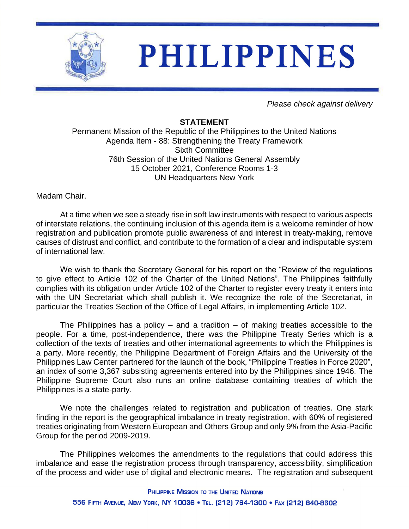

## **PHILIPPINES**

*Please check against delivery*

## **STATEMENT**

Permanent Mission of the Republic of the Philippines to the United Nations Agenda Item - 88: Strengthening the Treaty Framework Sixth Committee 76th Session of the United Nations General Assembly 15 October 2021, Conference Rooms 1-3 UN Headquarters New York

Madam Chair.

At a time when we see a steady rise in soft law instruments with respect to various aspects of interstate relations, the continuing inclusion of this agenda item is a welcome reminder of how registration and publication promote public awareness of and interest in treaty-making, remove causes of distrust and conflict, and contribute to the formation of a clear and indisputable system of international law.

We wish to thank the Secretary General for his report on the "Review of the regulations to give effect to Article 102 of the Charter of the United Nations". The Philippines faithfully complies with its obligation under Article 102 of the Charter to register every treaty it enters into with the UN Secretariat which shall publish it. We recognize the role of the Secretariat, in particular the Treaties Section of the Office of Legal Affairs, in implementing Article 102.

The Philippines has a policy – and a tradition – of making treaties accessible to the people. For a time, post-independence, there was the Philippine Treaty Series which is a collection of the texts of treaties and other international agreements to which the Philippines is a party. More recently, the Philippine Department of Foreign Affairs and the University of the Philippines Law Center partnered for the launch of the book, "Philippine Treaties in Force 2020", an index of some 3,367 subsisting agreements entered into by the Philippines since 1946. The Philippine Supreme Court also runs an online database containing treaties of which the Philippines is a state-party.

We note the challenges related to registration and publication of treaties. One stark finding in the report is the geographical imbalance in treaty registration, with 60% of registered treaties originating from Western European and Others Group and only 9% from the Asia-Pacific Group for the period 2009-2019.

The Philippines welcomes the amendments to the regulations that could address this imbalance and ease the registration process through transparency, accessibility, simplification of the process and wider use of digital and electronic means. The registration and subsequent